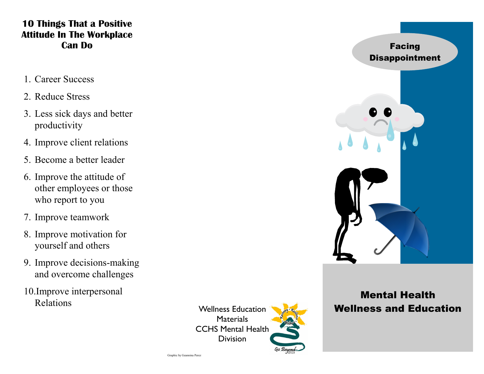## **10 Things That a Positive Attitude In The Workplace Can Do**

- 1. Career Success
- 2. Reduce Stress
- 3. Less sick days and better productivity
- 4. Improve client relations
- 5. Become a better leader
- 6. Improve the attitude of other employees or those who report to you
- 7. Improve teamwork
- 8. Improve motivation for yourself and others
- 9. Improve decisions-making and overcome challenges
- 10.Improve interpersonal Relations

Wellness Education Materials CCHS Mental Health **Division** 



# Mental Health Wellness and Education

Graphic by Geannina Perez